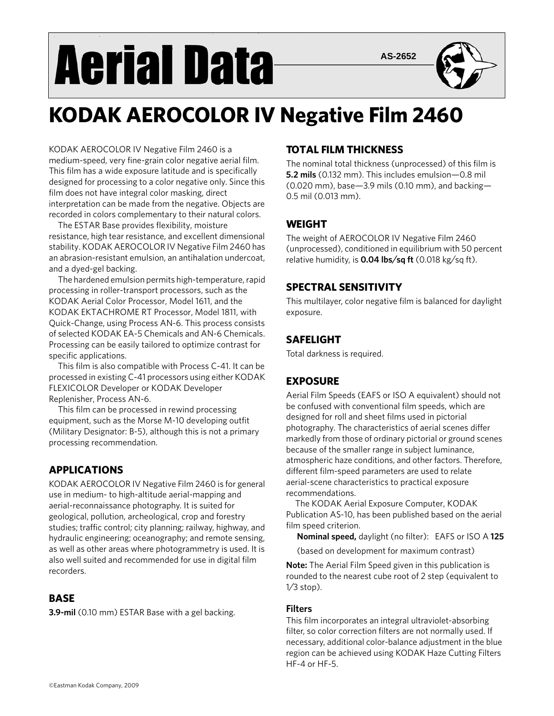# **Aerial Data**

**AS-2652**



# **KODAK AEROCOLOR IV Negative Film 2460**

KODAK AEROCOLOR IV Negative Film 2460 is a medium-speed, very fine-grain color negative aerial film. This film has a wide exposure latitude and is specifically designed for processing to a color negative only. Since this film does not have integral color masking, direct interpretation can be made from the negative. Objects are recorded in colors complementary to their natural colors.

The ESTAR Base provides flexibility, moisture resistance, high tear resistance, and excellent dimensional stability. KODAK AEROCOLOR IV Negative Film 2460 has an abrasion-resistant emulsion, an antihalation undercoat, and a dyed-gel backing.

The hardened emulsion permits high-temperature, rapid processing in roller-transport processors, such as the KODAK Aerial Color Processor, Model 1611, and the KODAK EKTACHROME RT Processor, Model 1811, with Quick-Change, using Process AN-6. This process consists of selected KODAK EA-5 Chemicals and AN-6 Chemicals. Processing can be easily tailored to optimize contrast for specific applications.

This film is also compatible with Process C-41. It can be processed in existing C-41 processors using either KODAK FLEXICOLOR Developer or KODAK Developer Replenisher, Process AN-6.

This film can be processed in rewind processing equipment, such as the Morse M-10 developing outfit (Military Designator: B-5), although this is not a primary processing recommendation.

# **APPLICATIONS**

KODAK AEROCOLOR IV Negative Film 2460 is for general use in medium- to high-altitude aerial-mapping and aerial-reconnaissance photography. It is suited for geological, pollution, archeological, crop and forestry studies; traffic control; city planning; railway, highway, and hydraulic engineering; oceanography; and remote sensing, as well as other areas where photogrammetry is used. It is also well suited and recommended for use in digital film recorders.

# **BASE**

**3.9-mil** (0.10 mm) ESTAR Base with a gel backing.

# **TOTAL FILM THICKNESS**

The nominal total thickness (unprocessed) of this film is **5.2 mils** (0.132 mm). This includes emulsion—0.8 mil (0.020 mm), base—3.9 mils (0.10 mm), and backing— 0.5 mil (0.013 mm).

# **WEIGHT**

The weight of AEROCOLOR IV Negative Film 2460 (unprocessed), conditioned in equilibrium with 50 percent relative humidity, is **0.04 lbs⁄sq ft** (0.018 kg⁄sq ft).

# **SPECTRAL SENSITIVITY**

This multilayer, color negative film is balanced for daylight exposure.

# **SAFELIGHT**

Total darkness is required.

# **EXPOSURE**

Aerial Film Speeds (EAFS or ISO A equivalent) should not be confused with conventional film speeds, which are designed for roll and sheet films used in pictorial photography. The characteristics of aerial scenes differ markedly from those of ordinary pictorial or ground scenes because of the smaller range in subject luminance, atmospheric haze conditions, and other factors. Therefore, different film-speed parameters are used to relate aerial-scene characteristics to practical exposure recommendations.

The KODAK Aerial Exposure Computer, KODAK Publication AS-10, has been published based on the aerial film speed criterion.

**Nominal speed,** daylight (no filter): EAFS or ISO A **125**

(based on development for maximum contrast)

**Note:** The Aerial Film Speed given in this publication is rounded to the nearest cube root of 2 step (equivalent to 1⁄3 stop).

# **Filters**

This film incorporates an integral ultraviolet-absorbing filter, so color correction filters are not normally used. If necessary, additional color-balance adjustment in the blue region can be achieved using KODAK Haze Cutting Filters HF-4 or HF-5.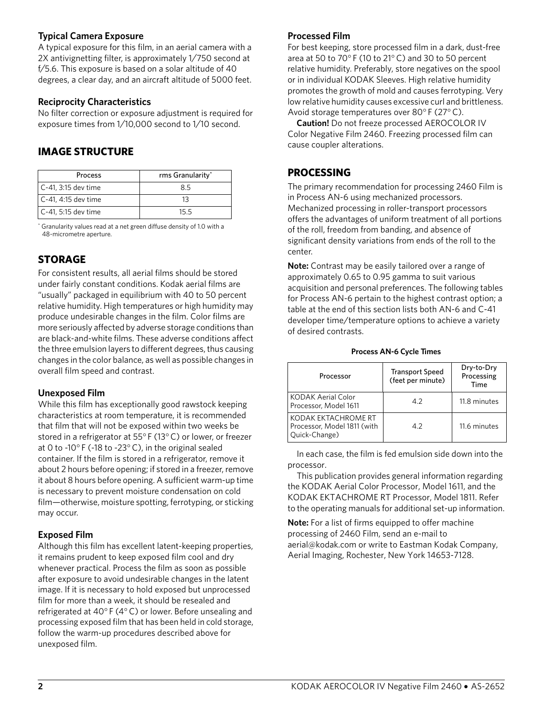### **Typical Camera Exposure**

A typical exposure for this film, in an aerial camera with a 2X antivignetting filter, is approximately 1⁄750 second at f⁄5.6. This exposure is based on a solar altitude of 40 degrees, a clear day, and an aircraft altitude of 5000 feet.

# **Reciprocity Characteristics**

No filter correction or exposure adjustment is required for exposure times from 1⁄10,000 second to 1⁄10 second.

# **IMAGE STRUCTURE**

| Process             | rms Granularity* |
|---------------------|------------------|
| C-41, 3:15 dev time | 8.5              |
| C-41, 4:15 dev time | 13               |
| C-41, 5:15 dev time | 15.5             |

\* Granularity values read at a net green diffuse density of 1.0 with a 48-micrometre aperture.

# **STORAGE**

For consistent results, all aerial films should be stored under fairly constant conditions. Kodak aerial films are "usually" packaged in equilibrium with 40 to 50 percent relative humidity. High temperatures or high humidity may produce undesirable changes in the film. Color films are more seriously affected by adverse storage conditions than are black-and-white films. These adverse conditions affect the three emulsion layers to different degrees, thus causing changes in the color balance, as well as possible changes in overall film speed and contrast.

# **Unexposed Film**

While this film has exceptionally good rawstock keeping characteristics at room temperature, it is recommended that film that will not be exposed within two weeks be stored in a refrigerator at 55° F (13°C) or lower, or freezer at 0 to -10° F (-18 to -23°C), in the original sealed container. If the film is stored in a refrigerator, remove it about 2 hours before opening; if stored in a freezer, remove it about 8 hours before opening. A sufficient warm-up time is necessary to prevent moisture condensation on cold film—otherwise, moisture spotting, ferrotyping, or sticking may occur.

# **Exposed Film**

Although this film has excellent latent-keeping properties, it remains prudent to keep exposed film cool and dry whenever practical. Process the film as soon as possible after exposure to avoid undesirable changes in the latent image. If it is necessary to hold exposed but unprocessed film for more than a week, it should be resealed and refrigerated at 40° F (4°C) or lower. Before unsealing and processing exposed film that has been held in cold storage, follow the warm-up procedures described above for unexposed film.

### **Processed Film**

For best keeping, store processed film in a dark, dust-free area at 50 to 70° F (10 to 21°C) and 30 to 50 percent relative humidity. Preferably, store negatives on the spool or in individual KODAK Sleeves. High relative humidity promotes the growth of mold and causes ferrotyping. Very low relative humidity causes excessive curl and brittleness. Avoid storage temperatures over 80° F (27°C).

**Caution!** Do not freeze processed AEROCOLOR IV Color Negative Film 2460. Freezing processed film can cause coupler alterations.

# **PROCESSING**

The primary recommendation for processing 2460 Film is in Process AN-6 using mechanized processors. Mechanized processing in roller-transport processors offers the advantages of uniform treatment of all portions of the roll, freedom from banding, and absence of significant density variations from ends of the roll to the center.

**Note:** Contrast may be easily tailored over a range of approximately 0.65 to 0.95 gamma to suit various acquisition and personal preferences. The following tables for Process AN-6 pertain to the highest contrast option; a table at the end of this section lists both AN-6 and C-41 developer time/temperature options to achieve a variety of desired contrasts.

### **Process AN-6 Cycle Times**

| Processor                                                           | <b>Transport Speed</b><br>(feet per minute) | Dry-to-Dry<br>Processing<br>Time |
|---------------------------------------------------------------------|---------------------------------------------|----------------------------------|
| KODAK Aerial Color<br>Processor, Model 1611                         | 4.2                                         | 11.8 minutes                     |
| KODAK EKTACHROME RT<br>Processor, Model 1811 (with<br>Quick-Change) | 4.2                                         | 11.6 minutes                     |

In each case, the film is fed emulsion side down into the processor.

This publication provides general information regarding the KODAK Aerial Color Processor, Model 1611, and the KODAK EKTACHROME RT Processor, Model 1811. Refer to the operating manuals for additional set-up information.

**Note:** For a list of firms equipped to offer machine processing of 2460 Film, send an e-mail to aerial@kodak.com or write to Eastman Kodak Company, Aerial Imaging, Rochester, New York 14653-7128.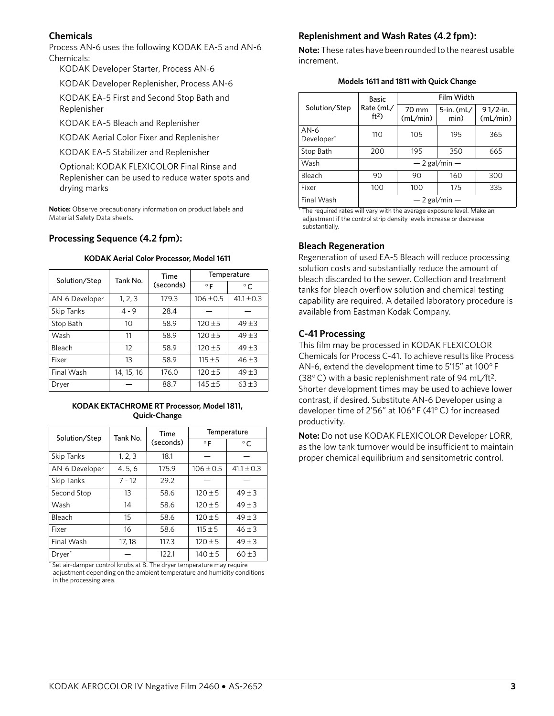### **Chemicals**

Process AN-6 uses the following KODAK EA-5 and AN-6 Chemicals:

KODAK Developer Starter, Process AN-6

KODAK Developer Replenisher, Process AN-6

KODAK EA-5 First and Second Stop Bath and Replenisher

KODAK EA-5 Bleach and Replenisher

KODAK Aerial Color Fixer and Replenisher

KODAK EA-5 Stabilizer and Replenisher

Optional: KODAK FLEXICOLOR Final Rinse and Replenisher can be used to reduce water spots and drying marks

**Notice:** Observe precautionary information on product labels and Material Safety Data sheets.

### **Processing Sequence (4.2 fpm):**

| Solution/Step  | Tank No.   | Time      | Temperature   |                |
|----------------|------------|-----------|---------------|----------------|
|                |            | (seconds) | $\circ$ F     | $\circ$ C.     |
| AN-6 Developer | 1, 2, 3    | 179.3     | $106 \pm 0.5$ | $41.1 \pm 0.3$ |
| Skip Tanks     | $4 - 9$    | 28.4      |               |                |
| Stop Bath      | 10         | 58.9      | $120 + 5$     | $49 + 3$       |
| Wash           | 11         | 58.9      | $120 + 5$     | $49 + 3$       |
| Bleach         | 12         | 58.9      | $120 + 5$     | $49 + 3$       |
| Fixer          | 13         | 58.9      | $115 + 5$     | $46 + 3$       |
| Final Wash     | 14, 15, 16 | 176.0     | $120 + 5$     | $49 + 3$       |
| Dryer          |            | 88.7      | $145 + 5$     | $63 + 3$       |

### **KODAK Aerial Color Processor, Model 1611**

### **KODAK EKTACHROME RT Processor, Model 1811, Quick-Change**

| Solution/Step      | Tank No. | Time      | Temperature   |                |
|--------------------|----------|-----------|---------------|----------------|
|                    |          | (seconds) | $\circ$ F     | $^{\circ}$ C   |
| <b>Skip Tanks</b>  | 1, 2, 3  | 18.1      |               |                |
| AN-6 Developer     | 4, 5, 6  | 175.9     | $106 \pm 0.5$ | $41.1 \pm 0.3$ |
| <b>Skip Tanks</b>  | $7 - 12$ | 29.2      |               |                |
| Second Stop        | 13       | 58.6      | $120 \pm 5$   | $49 + 3$       |
| Wash               | 14       | 58.6      | $120 \pm 5$   | $49 + 3$       |
| Bleach             | 15       | 58.6      | $120 \pm 5$   | $49 + 3$       |
| Fixer              | 16       | 58.6      | $115 \pm 5$   | $46 \pm 3$     |
| Final Wash         | 17, 18   | 117.3     | $120 \pm 5$   | $49 \pm 3$     |
| Dryer <sup>*</sup> |          | 122.1     | $140 \pm 5$   | $60 + 3$       |

\* Set air-damper control knobs at 8. The dryer temperature may require adjustment depending on the ambient temperature and humidity conditions in the processing area.

### **Replenishment and Wash Rates (4.2 fpm):**

**Note:** These rates have been rounded to the nearest usable increment.

|  |  |  |  |  |  | Models 1611 and 1811 with Quick Change |
|--|--|--|--|--|--|----------------------------------------|
|--|--|--|--|--|--|----------------------------------------|

| Basic                            |                              | Film Width        |                       |                      |
|----------------------------------|------------------------------|-------------------|-----------------------|----------------------|
| Solution/Step                    | Rate (mL/<br>ft <sup>2</sup> | 70 mm<br>(mL/min) | $5$ -in. (mL/<br>min) | 91/2-in.<br>(mL/min) |
| $AN-6$<br>Developer <sup>*</sup> | 110                          | 105               | 195                   | 365                  |
| Stop Bath                        | 200                          | 195               | 350                   | 665                  |
| Wash                             | $-2$ gal/min $-$             |                   |                       |                      |
| Bleach                           | 90                           | 90                | 160                   | 300                  |
| Fixer                            | 100                          | 100               | 175                   | 335                  |
| Final Wash                       | $-2$ gal/min $-$             |                   |                       |                      |

\* The required rates will vary with the average exposure level. Make an adjustment if the control strip density levels increase or decrease substantially.

### **Bleach Regeneration**

Regeneration of used EA-5 Bleach will reduce processing solution costs and substantially reduce the amount of bleach discarded to the sewer. Collection and treatment tanks for bleach overflow solution and chemical testing capability are required. A detailed laboratory procedure is available from Eastman Kodak Company.

# **C-41 Processing**

This film may be processed in KODAK FLEXICOLOR Chemicals for Process C-41. To achieve results like Process AN-6, extend the development time to 5'15" at 100° F (38°C) with a basic replenishment rate of 94 mL⁄ft2. Shorter development times may be used to achieve lower contrast, if desired. Substitute AN-6 Developer using a developer time of 2'56" at 106° F (41°C) for increased productivity.

**Note:** Do not use KODAK FLEXICOLOR Developer LORR, as the low tank turnover would be insufficient to maintain proper chemical equilibrium and sensitometric control.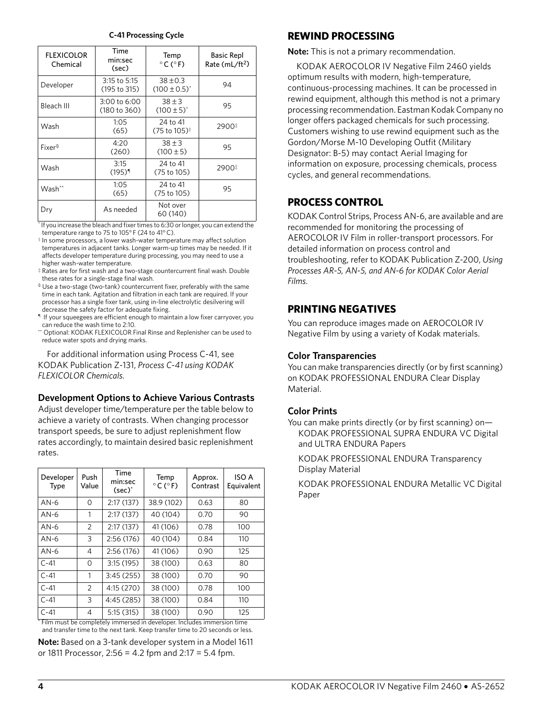| C-41 Processing Cycle |  |
|-----------------------|--|
|-----------------------|--|

| <b>FLEXICOLOR</b><br>Chemical | Time<br>min:sec<br>(sec)       | Temp<br>$^{\circ}$ C ( $^{\circ}$ F) | <b>Basic Repl</b><br>Rate $(mL/ft2)$ |
|-------------------------------|--------------------------------|--------------------------------------|--------------------------------------|
| Developer                     | 3:15 to 5:15<br>(195 to 315)   | $38 + 0.3$<br>$(100 \pm 0.5)^*$      | 94                                   |
| Bleach III                    | $3:00$ to 6:00<br>(180 to 360) | $38 + 3$<br>$(100 \pm 5)^*$          | 95                                   |
| Wash                          | 1:05<br>(65)                   | 24 to 41<br>(75 to 105)†             | 2900#                                |
| Fixers                        | 4:20<br>(260)                  | $38 + 3$<br>$(100 \pm 5)$            | 95                                   |
| Wash                          | 3:15<br>$(195)^{1}$            | 24 to 41<br>(75 to 105)              | 2900#                                |
| Wash**                        | 1:05<br>(65)                   | 24 to 41<br>(75 to 105)              | 95                                   |
| Dry                           | As needed                      | Not over<br>60 (140)                 |                                      |

\* If you increase the bleach and fixer times to 6:30 or longer, you can extend the temperature range to 75 to 105° F (24 to 41°C).

† In some processors, a lower wash-water temperature may affect solution temperatures in adjacent tanks. Longer warm-up times may be needed. If it affects developer temperature during processing, you may need to use a higher wash-water temperature.

‡ Rates are for first wash and a two-stage countercurrent final wash. Double these rates for a single-stage final wash.

§ Use a two-stage (two-tank) countercurrent fixer, preferably with the same time in each tank. Agitation and filtration in each tank are required. If your processor has a single fixer tank, using in-line electrolytic desilvering will decrease the safety factor for adequate fixing.

¶ If your squeegees are efficient enough to maintain a low fixer carryover, you can reduce the wash time to 2:10.

\*\* Optional: KODAK FLEXICOLOR Final Rinse and Replenisher can be used to reduce water spots and drying marks.

For additional information using Process C-41, see KODAK Publication Z-131, *Process C-41 using KODAK FLEXICOLOR Chemicals*.

# **Development Options to Achieve Various Contrasts**

Adjust developer time/temperature per the table below to achieve a variety of contrasts. When changing processor transport speeds, be sure to adjust replenishment flow rates accordingly, to maintain desired basic replenishment rates.

| Developer<br>Type | Push<br>Value  | Time<br>min:sec<br>$(\sec)^*$ | Temp<br>$^{\circ}$ C ( $^{\circ}$ F) | Approx.<br>Contrast | ISO A<br>Equivalent |
|-------------------|----------------|-------------------------------|--------------------------------------|---------------------|---------------------|
| $AN-6$            | $\Omega$       | 2:17(137)                     | 38.9 (102)                           | 0.63                | 80                  |
| $AN-6$            | 1              | 2:17(137)                     | 40 (104)                             | 0.70                | 90                  |
| $AN-6$            | $\overline{2}$ | 2:17(137)                     | 41 (106)                             | 0.78                | 100                 |
| $AN-6$            | 3              | 2:56(176)                     | 40 (104)                             | 0.84                | 110                 |
| $AN-6$            | 4              | 2:56(176)                     | 41 (106)                             | 0.90                | 125                 |
| $C-41$            | 0              | 3:15(195)                     | 38 (100)                             | 0.63                | 80                  |
| $C-41$            | 1              | 3:45(255)                     | 38 (100)                             | 0.70                | 90                  |
| $C-41$            | $\overline{2}$ | 4:15 (270)                    | 38 (100)                             | 0.78                | 100                 |
| $C-41$            | 3              | 4:45 (285)                    | 38 (100)                             | 0.84                | 110                 |
| $C-41$            | 4              | 5:15(315)                     | 38 (100)                             | 0.90                | 125                 |

Film must be completely immersed in developer. Includes immersion time and transfer time to the next tank. Keep transfer time to 20 seconds or less. **Note:** Based on a 3-tank developer system in a Model 1611

or 1811 Processor, 2:56 = 4.2 fpm and 2:17 = 5.4 fpm.

# **REWIND PROCESSING**

**Note:** This is not a primary recommendation.

KODAK AEROCOLOR IV Negative Film 2460 yields optimum results with modern, high-temperature, continuous-processing machines. It can be processed in rewind equipment, although this method is not a primary processing recommendation. Eastman Kodak Company no longer offers packaged chemicals for such processing. Customers wishing to use rewind equipment such as the Gordon/Morse M-10 Developing Outfit (Military Designator: B-5) may contact Aerial Imaging for information on exposure, processing chemicals, process cycles, and general recommendations.

# **PROCESS CONTROL**

KODAK Control Strips, Process AN-6, are available and are recommended for monitoring the processing of AEROCOLOR IV Film in roller-transport processors. For detailed information on process control and troubleshooting, refer to KODAK Publication Z-200, *Using Processes AR-5, AN-5, and AN-6 for KODAK Color Aerial Films*.

# **PRINTING NEGATIVES**

You can reproduce images made on AEROCOLOR IV Negative Film by using a variety of Kodak materials.

# **Color Transparencies**

You can make transparencies directly (or by first scanning) on KODAK PROFESSIONAL ENDURA Clear Display Material.

# **Color Prints**

You can make prints directly (or by first scanning) on— KODAK PROFESSIONAL SUPRA ENDURA VC Digital and ULTRA ENDURA Papers

KODAK PROFESSIONAL ENDURA Transparency Display Material

KODAK PROFESSIONAL ENDURA Metallic VC Digital Paper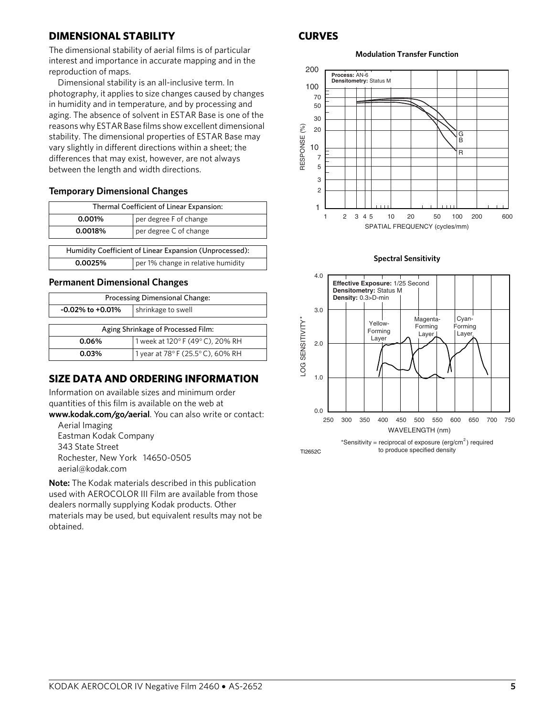# **DIMENSIONAL STABILITY**

The dimensional stability of aerial films is of particular interest and importance in accurate mapping and in the reproduction of maps.

Dimensional stability is an all-inclusive term. In photography, it applies to size changes caused by changes in humidity and in temperature, and by processing and aging. The absence of solvent in ESTAR Base is one of the reasons why ESTAR Base films show excellent dimensional stability. The dimensional properties of ESTAR Base may vary slightly in different directions within a sheet; the differences that may exist, however, are not always between the length and width directions.

### **Temporary Dimensional Changes**

| Thermal Coefficient of Linear Expansion:                |  |  |
|---------------------------------------------------------|--|--|
| per degree F of change<br>0.001%                        |  |  |
| per degree C of change<br>0.0018%                       |  |  |
|                                                         |  |  |
| Humidity Coefficient of Linear Expansion (Unprocessed): |  |  |
| per 1% change in relative humidity<br>0.0025%           |  |  |

### **Permanent Dimensional Changes**

| <b>Processing Dimensional Change:</b>        |  |  |  |
|----------------------------------------------|--|--|--|
| shrinkage to swell<br>$-0.02\%$ to $+0.01\%$ |  |  |  |
|                                              |  |  |  |
| Aging Shrinkage of Processed Film:           |  |  |  |
| 1 week at 120°F (49°C), 20% RH<br>0.06%      |  |  |  |
| 1 year at 78°F (25.5°C), 60% RH<br>0.03%     |  |  |  |

# **SIZE DATA AND ORDERING INFORMATION**

Information on available sizes and minimum order quantities of this film is available on the web at

**www.kodak.com/go/aerial**. You can also write or contact: Aerial Imaging

Eastman Kodak Company 343 State Street Rochester, New York 14650-0505 aerial@kodak.com

**Note:** The Kodak materials described in this publication used with AEROCOLOR III Film are available from those dealers normally supplying Kodak products. Other materials may be used, but equivalent results may not be obtained.

### **CURVES**

### **Modulation Transfer Function**